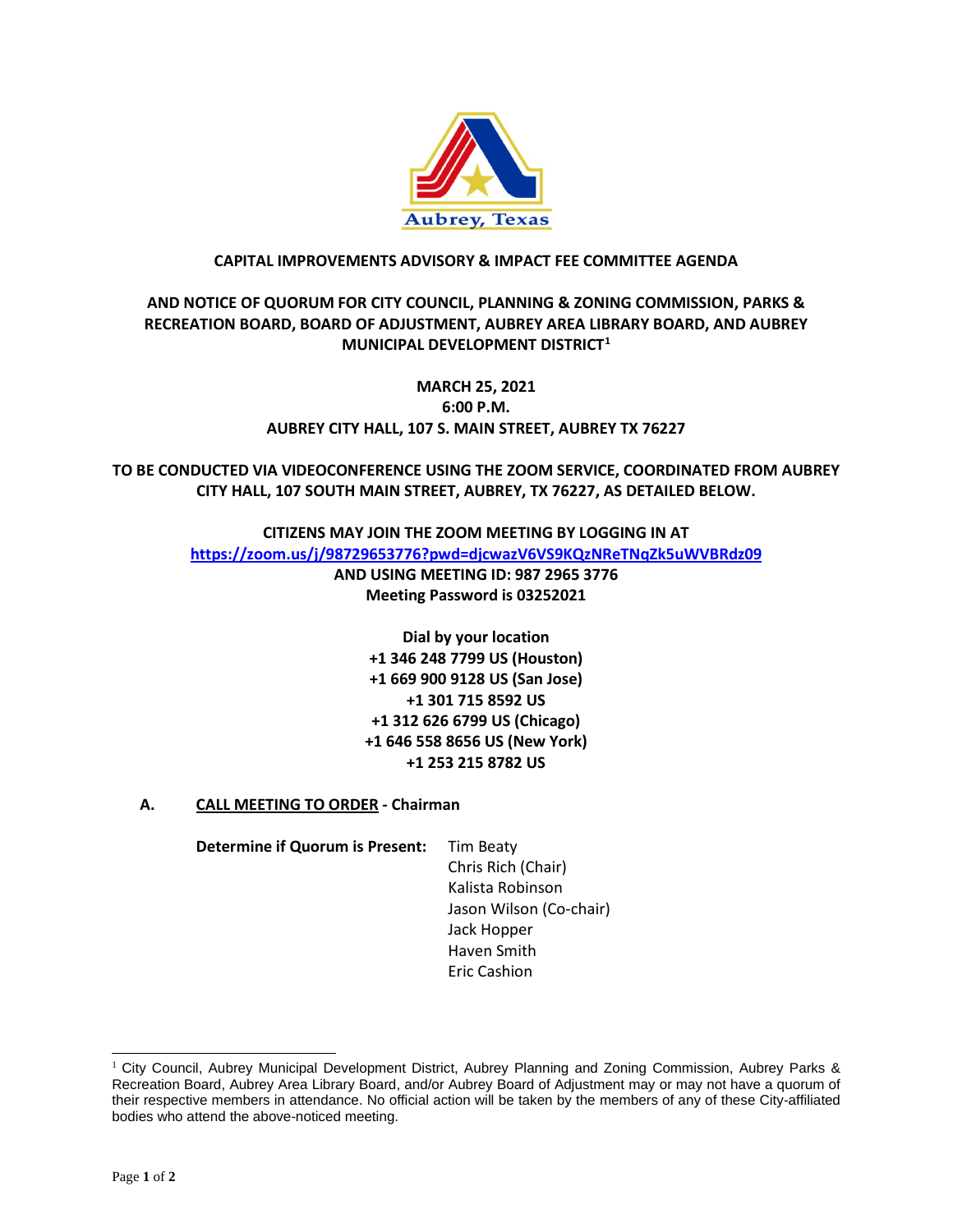

#### **CAPITAL IMPROVEMENTS ADVISORY & IMPACT FEE COMMITTEE AGENDA**

## **AND NOTICE OF QUORUM FOR CITY COUNCIL, PLANNING & ZONING COMMISSION, PARKS & RECREATION BOARD, BOARD OF ADJUSTMENT, AUBREY AREA LIBRARY BOARD, AND AUBREY MUNICIPAL DEVELOPMENT DISTRICT[1](#page-0-0)**

# **MARCH 25, 2021 6:00 P.M. AUBREY CITY HALL, 107 S. MAIN STREET, AUBREY TX 76227**

**TO BE CONDUCTED VIA VIDEOCONFERENCE USING THE ZOOM SERVICE, COORDINATED FROM AUBREY CITY HALL, 107 SOUTH MAIN STREET, AUBREY, TX 76227, AS DETAILED BELOW.**

> **CITIZENS MAY JOIN THE ZOOM MEETING BY LOGGING IN AT <https://zoom.us/j/98729653776?pwd=djcwazV6VS9KQzNReTNqZk5uWVBRdz09> AND USING MEETING ID: 987 2965 3776 Meeting Password is 03252021**

> > **Dial by your location +1 346 248 7799 US (Houston) +1 669 900 9128 US (San Jose) +1 301 715 8592 US +1 312 626 6799 US (Chicago) +1 646 558 8656 US (New York) +1 253 215 8782 US**

**A. CALL MEETING TO ORDER - Chairman**

**Determine if Quorum is Present:** Tim Beaty

Chris Rich (Chair) Kalista Robinson Jason Wilson (Co-chair) Jack Hopper Haven Smith Eric Cashion

<span id="page-0-0"></span><sup>&</sup>lt;sup>1</sup> City Council, Aubrey Municipal Development District, Aubrey Planning and Zoning Commission, Aubrey Parks & Recreation Board, Aubrey Area Library Board, and/or Aubrey Board of Adjustment may or may not have a quorum of their respective members in attendance. No official action will be taken by the members of any of these City-affiliated bodies who attend the above-noticed meeting.